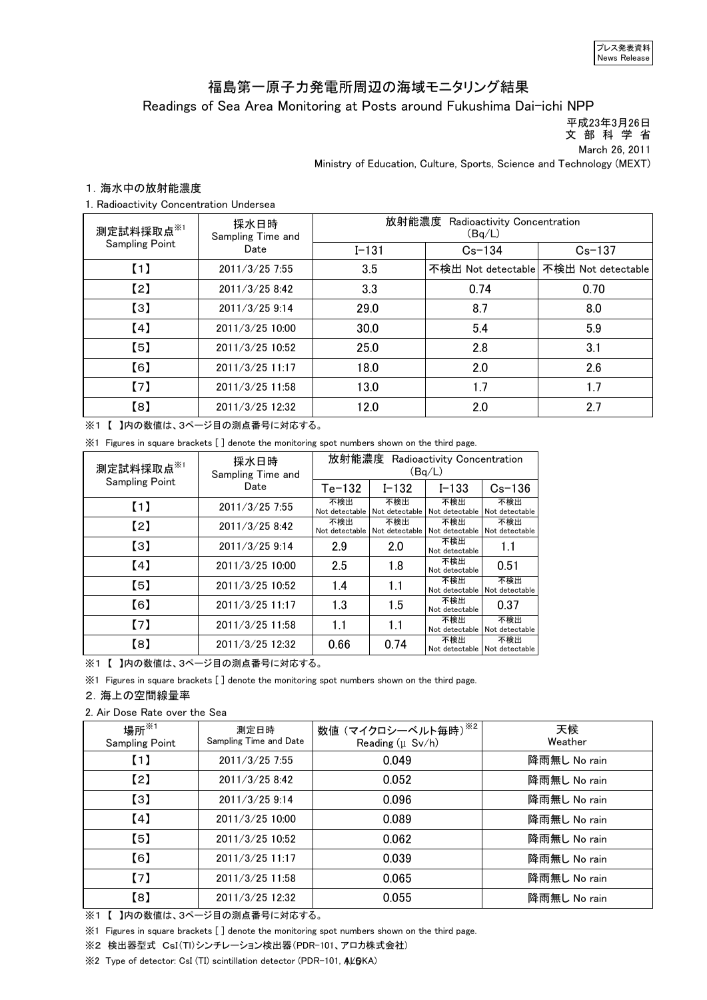# Readings of Sea Area Monitoring at Posts around Fukushima Dai-ichi NPP 福島第一原子力発電所周辺の海域モニタリング結果

 平成23年3月26日 文 部 科 学 省

March 26, 2011

Ministry of Education, Culture, Sports, Science and Technology (MEXT)

# 1.海水中の放射能濃度

1. Radioactivity Concentration Undersea

| 測定試料採取点※1             | 採水日時<br>Sampling Time and | 放射能濃度 Radioactivity Concentration<br>(Bq/L) |            |                                       |  |
|-----------------------|---------------------------|---------------------------------------------|------------|---------------------------------------|--|
| <b>Sampling Point</b> | Date                      | $I - 131$                                   | $Cs - 134$ | $Cs - 137$                            |  |
| (1)                   | 2011/3/25 7:55            | 3.5                                         |            | 不検出 Not detectable 不検出 Not detectable |  |
| [2]                   | 2011/3/25 8:42            | 3.3                                         | 0.74       | 0.70                                  |  |
| $\left[3\right]$      | 2011/3/25 9:14            | 29.0                                        | 8.7        | 8.0                                   |  |
| [4]                   | 2011/3/25 10:00           | 30.0                                        | 5.4        | 5.9                                   |  |
| [5]                   | 2011/3/25 10:52           | 25.0                                        | 2.8        | 3.1                                   |  |
| [6]                   | 2011/3/25 11:17           | 18.0                                        | 2.0        | 2.6                                   |  |
| (7)                   | 2011/3/25 11:58           | 13.0                                        | 1.7        | 1.7                                   |  |
| [8]                   | 2011/3/25 12:32           | 12.0                                        | 2.0        | 2.7                                   |  |

※1 【 】内の数値は、3ページ目の測点番号に対応する。

※1 Figures in square brackets [ ] denote the monitoring spot numbers shown on the third page.

| 測定試料採取点※1             | 採水日時<br>Sampling Time and | 放射能濃度 Radioactivity Concentration<br>(Bq/L) |                       |                       |                                      |
|-----------------------|---------------------------|---------------------------------------------|-----------------------|-----------------------|--------------------------------------|
| <b>Sampling Point</b> | Date                      | $Te-132$                                    | $I - 132$             | $I - 133$             | $Cs - 136$                           |
| (1)                   | 2011/3/25 7:55            | 不検出<br>Not detectable                       | 不検出<br>Not detectable | 不検出<br>Not detectable | 不検出<br>Not detectable                |
| $\left[2\right]$      | 2011/3/25 8:42            | 不検出<br>Not detectable                       | 不検出<br>Not detectable | 不検出<br>Not detectable | 不検出<br>Not detectable                |
| $\left[3\right]$      | 2011/3/25 9:14            | 2.9                                         | 2.0                   | 不検出<br>Not detectable | 1.1                                  |
| [4]                   | 2011/3/25 10:00           | 2.5                                         | 1.8                   | 不検出<br>Not detectable | 0.51                                 |
| $\left[5\right]$      | 2011/3/25 10:52           | 1.4                                         | 1.1                   | 不検出<br>Not detectable | 不検出<br>Not detectable                |
| [6]                   | 2011/3/25 11:17           | 1.3                                         | 1.5                   | 不検出<br>Not detectable | 0.37                                 |
| $\left[7\right]$      | 2011/3/25 11:58           | 1.1                                         | 1.1                   | 不検出<br>Not detectable | 不検出<br>Not detectable                |
| $^{[8]}$              | 2011/3/25 12:32           | 0.66                                        | 0.74                  | 不検出                   | 不検出<br>Not detectable Not detectable |

※1 【 】内の数値は、3ページ目の測点番号に対応する。

※1 Figures in square brackets [ ] denote the monitoring spot numbers shown on the third page.

### 2.海上の空間線量率

#### 2. Air Dose Rate over the Sea

| 場所 ${{}^{\times}}$ 1<br><b>Sampling Point</b> | 測定日時<br>Sampling Time and Date | 数値 (マイクロシーベルト毎時)※2<br>Reading $(\mu$ Sv/h) | 天候<br>Weather |
|-----------------------------------------------|--------------------------------|--------------------------------------------|---------------|
| (1)                                           | $2011/3/25$ 7:55               | 0.049                                      | 降雨無し No rain  |
| [2]                                           | 2011/3/25 8:42                 | 0.052                                      | 降雨無し No rain  |
| $\left[3\right]$                              | 2011/3/25 9:14                 | 0.096                                      | 降雨無し No rain  |
| (4)                                           | 2011/3/25 10:00                | 0.089                                      | 降雨無し No rain  |
| [5]                                           | 2011/3/25 10:52                | 0.062                                      | 降雨無し No rain  |
| [6]                                           | 2011/3/25 11:17                | 0.039                                      | 降雨無し No rain  |
| (7)                                           | 2011/3/25 11:58                | 0.065                                      | 降雨無し No rain  |
| [8]                                           | 2011/3/25 12:32                | 0.055                                      | 降雨無し No rain  |

※1 【 】内の数値は、3ページ目の測点番号に対応する。

※1 Figures in square brackets [ ] denote the monitoring spot numbers shown on the third page.

※2 検出器型式 CsI(Tl)シンチレーション検出器(PDR-101、アロカ株式会社)

※2 Type of detector: CsI (TI) scintillation detector (PDR-101, ALOKA)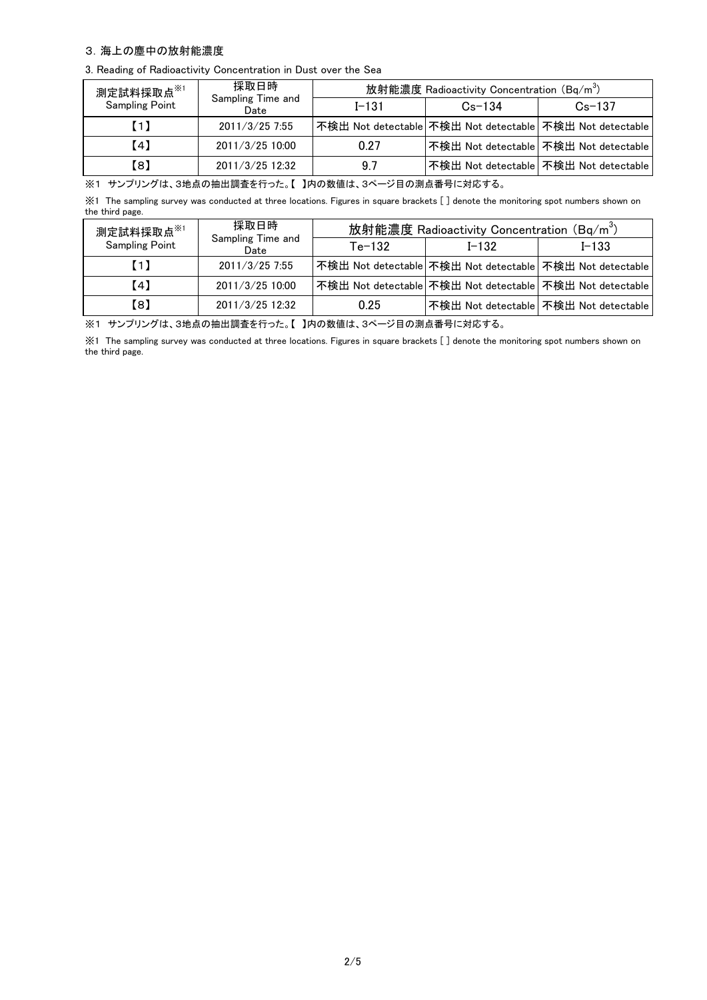## 3.海上の塵中の放射能濃度

3. Reading of Radioactivity Concentration in Dust over the Sea

| 測定試料採取点 <sup>※1</sup> | 採取日時                      | 放射能濃度 Radioactivity Concentration (Bq/m <sup>3</sup> ) |            |                                                          |
|-----------------------|---------------------------|--------------------------------------------------------|------------|----------------------------------------------------------|
| <b>Sampling Point</b> | Sampling Time and<br>Date | $I - 131$                                              | $Cs - 134$ | $Cs - 137$                                               |
| (1)                   | 2011/3/25 7:55            |                                                        |            | 不検出 Not detectable 不検出 Not detectable 不検出 Not detectable |
| [4]                   | 2011/3/25 10:00           | 0.27                                                   |            | 不検出 Not detectable   不検出 Not detectable                  |
| 【8】                   | 2011/3/25 12:32           | 97                                                     |            | 不検出 Not detectable 不検出 Not detectable                    |

※1 サンプリングは、3地点の抽出調査を行った。【 】内の数値は、3ページ目の測点番号に対応する。

※1 The sampling survey was conducted at three locations. Figures in square brackets [ ] denote the monitoring spot numbers shown on the third page.

| 測定試料採取点※1             | 採取日時                      | 放射能濃度 Radioactivity Concentration (Bq/m <sup>3</sup> ) |           |                                                          |
|-----------------------|---------------------------|--------------------------------------------------------|-----------|----------------------------------------------------------|
| <b>Sampling Point</b> | Sampling Time and<br>Date | $Te-132$                                               | $I - 132$ | $I - 133$                                                |
| [1]                   | 2011/3/25 7:55            |                                                        |           | 不検出 Not detectable 不検出 Not detectable 不検出 Not detectable |
| [4]                   | 2011/3/25 10:00           |                                                        |           | 不検出 Not detectable 不検出 Not detectable 不検出 Not detectable |
| 【8】                   | 2011/3/25 12:32           | 0.25                                                   |           | 不検出 Not detectable   不検出 Not detectable                  |

※1 サンプリングは、3地点の抽出調査を行った。【 】内の数値は、3ページ目の測点番号に対応する。

※1 The sampling survey was conducted at three locations. Figures in square brackets [ ] denote the monitoring spot numbers shown on the third page.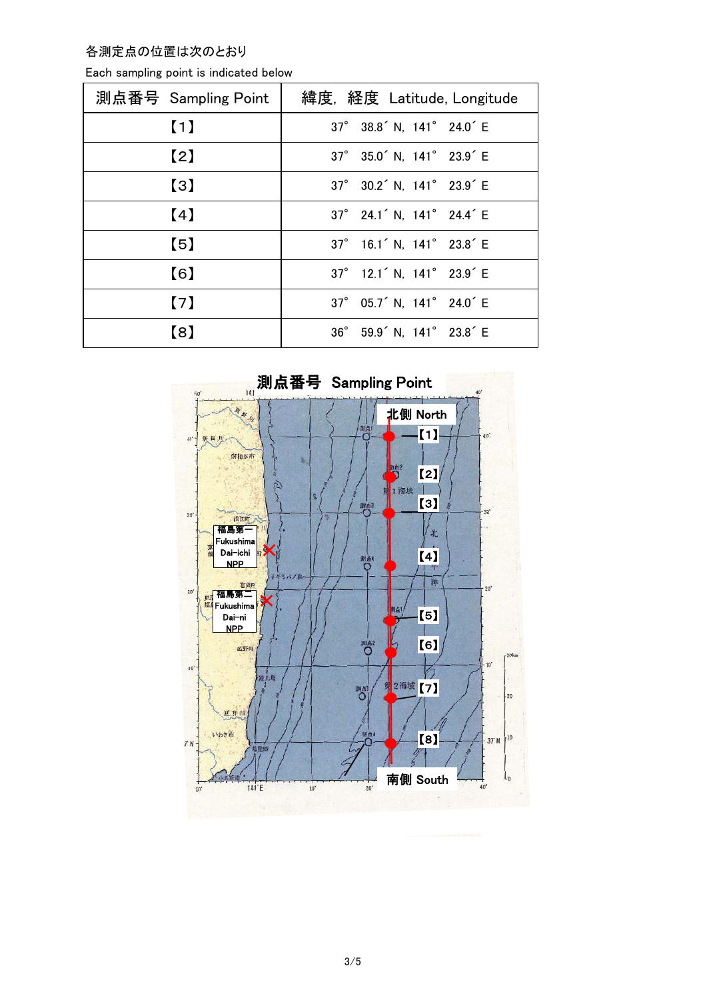各測定点の位置は次のとおり

| 測点番号 Sampling Point | 緯度, 経度 Latitude, Longitude                        |
|---------------------|---------------------------------------------------|
| (1)                 | 37° 38.8 <sup>'</sup> N, 141° 24.0 <sup>'</sup> E |
| $\left[2\right]$    | 37° 35.0 <sup>'</sup> N, 141° 23.9 <sup>'</sup> E |
| $\left[3\right]$    | 37° 30.2 <sup>'</sup> N, 141° 23.9 <sup>'</sup> E |
| (4)                 | 37° 24.1 <sup>'</sup> N, 141° 24.4 <sup>'</sup> E |
| (5)                 | 37° 16.1 <sup>'</sup> N, 141° 23.8 <sup>'</sup> E |
| [6]                 | 37° 12.1 <sup>'</sup> N, 141° 23.9 <sup>'</sup> E |
| $\lceil 7 \rceil$   | 37° 05.7 <sup>'</sup> N, 141° 24.0 <sup>'</sup> E |
| [8]                 | 36° 59.9' N, 141° 23.8' E                         |

Each sampling point is indicated below

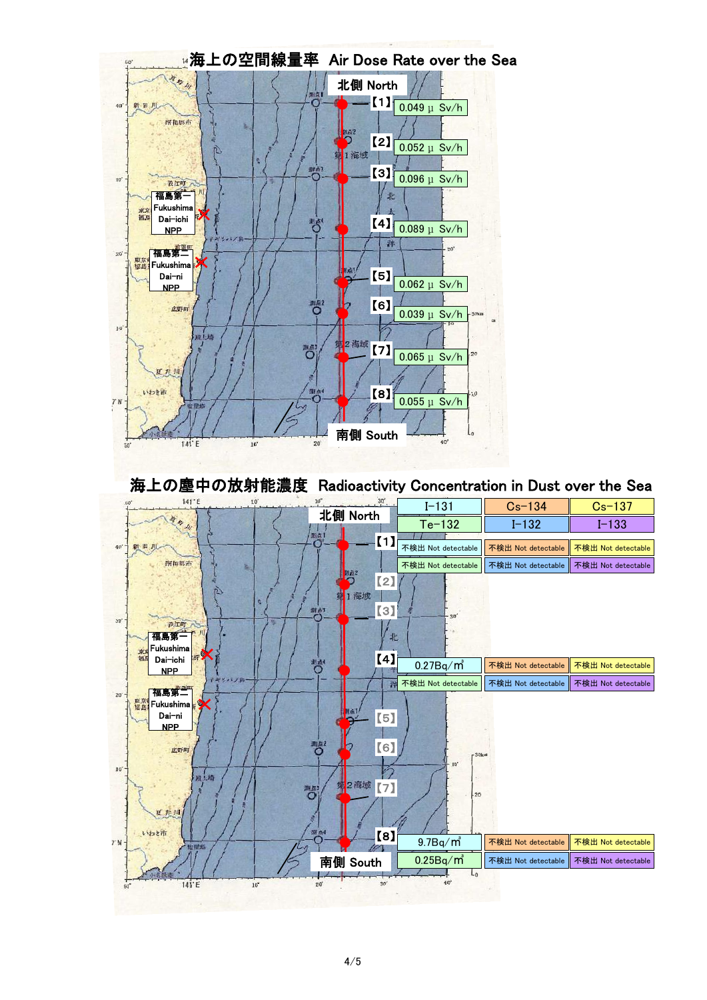

海上の塵中の放射能濃度 Radioactivity Concentration in Dust over the Sea